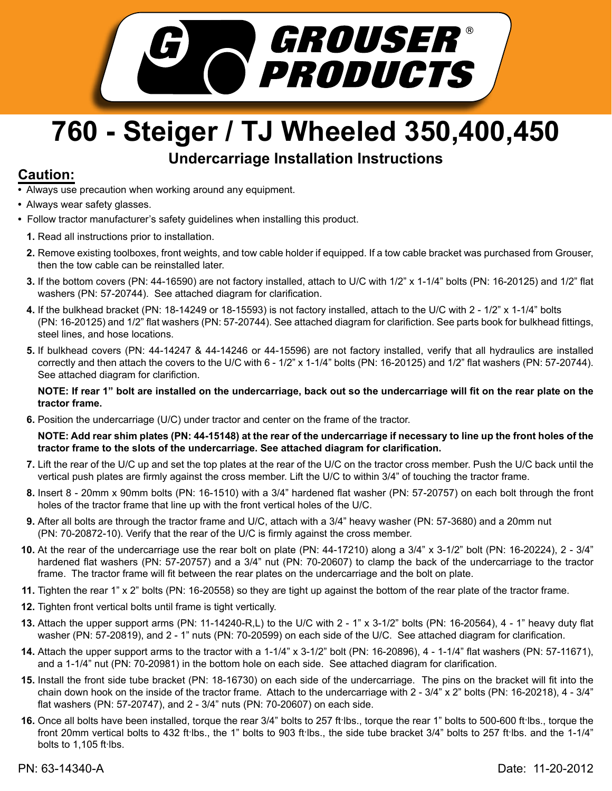

## **760 - Steiger / TJ Wheeled 350,400,450**

## **Undercarriage Installation Instructions**

## **Caution:**

- Always use precaution when working around any equipment.
- Always wear safety glasses.
- Follow tractor manufacturer's safety guidelines when installing this product.
	- **1.** Read all instructions prior to installation.
	- Remove existing toolboxes, front weights, and tow cable holder if equipped. If a tow cable bracket was purchased from Grouser, **2.** then the tow cable can be reinstalled later.
	- **3.** If the bottom covers (PN: 44-16590) are not factory installed, attach to U/C with 1/2" x 1-1/4" bolts (PN: 16-20125) and 1/2" flat washers (PN: 57-20744). See attached diagram for clarification.
	- If the bulkhead bracket (PN: 18-14249 or 18-15593) is not factory installed, attach to the U/C with 2 1/2" x 1-1/4" bolts **4.** (PN: 16-20125) and 1/2" flat washers (PN: 57-20744). See attached diagram for clarifiction. See parts book for bulkhead fittings, steel lines, and hose locations.
	- **5.** If bulkhead covers (PN: 44-14247 & 44-14246 or 44-15596) are not factory installed, verify that all hydraulics are installed correctly and then attach the covers to the U/C with 6 - 1/2" x 1-1/4" bolts (PN: 16-20125) and 1/2" flat washers (PN: 57-20744). See attached diagram for clarifiction.

## **NOTE: If rear 1" bolt are installed on the undercarriage, back out so the undercarriage will fit on the rear plate on the tractor frame.**

**6.** Position the undercarriage (U/C) under tractor and center on the frame of the tractor.

**NOTE: Add rear shim plates (PN: 44-15148) at the rear of the undercarriage if necessary to line up the front holes of the tractor frame to the slots of the undercarriage. See attached diagram for clarification.** 

- Lift the rear of the U/C up and set the top plates at the rear of the U/C on the tractor cross member. Push the U/C back until the **7.** vertical push plates are firmly against the cross member. Lift the U/C to within 3/4" of touching the tractor frame.
- **8.** Insert 8 20mm x 90mm bolts (PN: 16-1510) with a 3/4" hardened flat washer (PN: 57-20757) on each bolt through the front holes of the tractor frame that line up with the front vertical holes of the U/C.
- After all bolts are through the tractor frame and U/C, attach with a 3/4" heavy washer (PN: 57-3680) and a 20mm nut **9.** (PN: 70-20872-10). Verify that the rear of the U/C is firmly against the cross member.
- **10.** At the rear of the undercarriage use the rear bolt on plate (PN: 44-17210) along a 3/4" x 3-1/2" bolt (PN: 16-20224), 2 3/4" hardened flat washers (PN: 57-20757) and a 3/4" nut (PN: 70-20607) to clamp the back of the undercarriage to the tractor frame. The tractor frame will fit between the rear plates on the undercarriage and the bolt on plate.
- **11.** Tighten the rear 1" x 2" bolts (PN: 16-20558) so they are tight up against the bottom of the rear plate of the tractor frame.
- **12.** Tighten front vertical bolts until frame is tight vertically.
- **13.** Attach the upper support arms (PN: 11-14240-R,L) to the U/C with 2 1" x 3-1/2" bolts (PN: 16-20564), 4 1" heavy duty flat washer (PN: 57-20819), and 2 - 1" nuts (PN: 70-20599) on each side of the U/C. See attached diagram for clarification.
- Attach the upper support arms to the tractor with a 1-1/4" x 3-1/2" bolt (PN: 16-20896), 4 1-1/4" flat washers (PN: 57-11671), **14.** and a 1-1/4" nut (PN: 70-20981) in the bottom hole on each side. See attached diagram for clarification.
- **15.** Install the front side tube bracket (PN: 18-16730) on each side of the undercarriage. The pins on the bracket will fit into the chain down hook on the inside of the tractor frame. Attach to the undercarriage with 2 - 3/4" x 2" bolts (PN: 16-20218), 4 - 3/4" flat washers (PN: 57-20747), and 2 - 3/4" nuts (PN: 70-20607) on each side.
- 16. Once all bolts have been installed, torque the rear 3/4" bolts to 257 ft·lbs., torque the rear 1" bolts to 500-600 ft·lbs., torque the front 20mm vertical bolts to 432 ft lbs., the 1" bolts to 903 ft lbs., the side tube bracket 3/4" bolts to 257 ft lbs. and the 1-1/4" bolts to  $1,105$  ft lbs.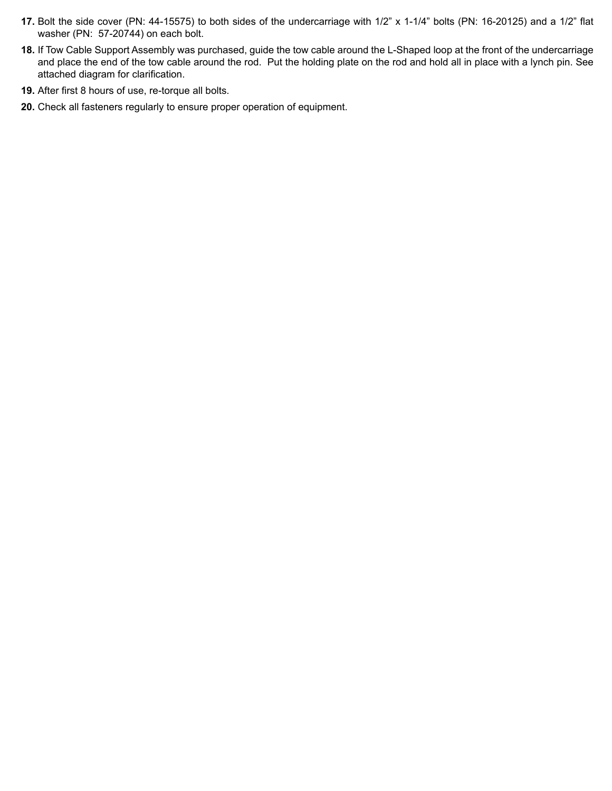- **17.** Bolt the side cover (PN: 44-15575) to both sides of the undercarriage with 1/2" x 1-1/4" bolts (PN: 16-20125) and a 1/2" flat washer (PN: 57-20744) on each bolt.
- If Tow Cable Support Assembly was purchased, guide the tow cable around the L-Shaped loop at the front of the undercarriage **18.** and place the end of the tow cable around the rod. Put the holding plate on the rod and hold all in place with a lynch pin. See attached diagram for clarification.
- **19.** After first 8 hours of use, re-torque all bolts.
- **20.** Check all fasteners regularly to ensure proper operation of equipment.